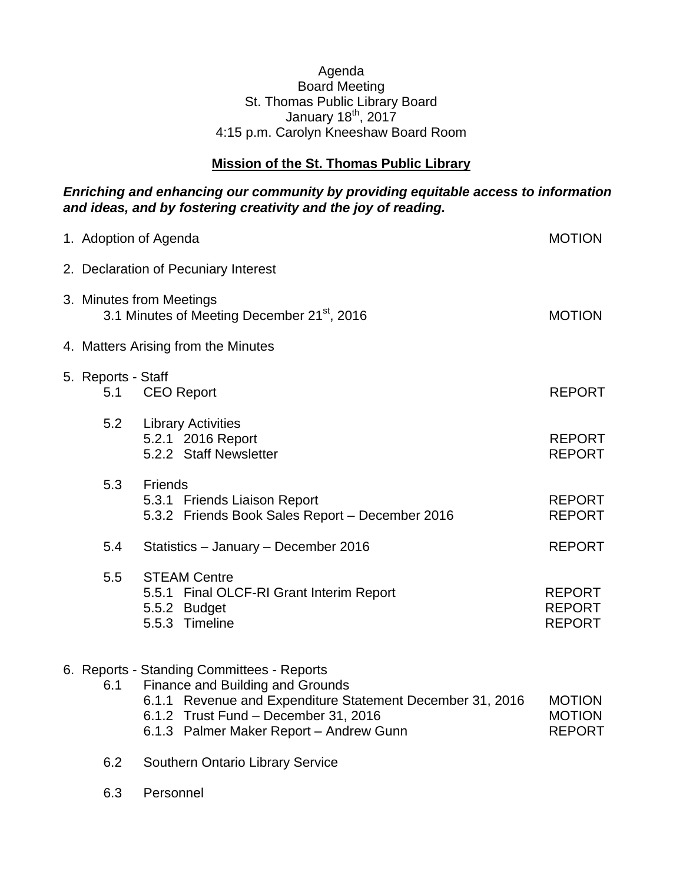## Agenda Board Meeting St. Thomas Public Library Board January 18 $th$ , 2017 4:15 p.m. Carolyn Kneeshaw Board Room

## **Mission of the St. Thomas Public Library**

## *Enriching and enhancing our community by providing equitable access to information and ideas, and by fostering creativity and the joy of reading.*

|                                                                                     | 1. Adoption of Agenda                                                                                                                                                                                                          | <b>MOTION</b>                                   |  |  |
|-------------------------------------------------------------------------------------|--------------------------------------------------------------------------------------------------------------------------------------------------------------------------------------------------------------------------------|-------------------------------------------------|--|--|
| 2. Declaration of Pecuniary Interest                                                |                                                                                                                                                                                                                                |                                                 |  |  |
| 3. Minutes from Meetings<br>3.1 Minutes of Meeting December 21 <sup>st</sup> , 2016 |                                                                                                                                                                                                                                |                                                 |  |  |
| 4. Matters Arising from the Minutes                                                 |                                                                                                                                                                                                                                |                                                 |  |  |
| 5. Reports - Staff<br>5.1                                                           | <b>CEO</b> Report                                                                                                                                                                                                              | <b>REPORT</b>                                   |  |  |
| 5.2                                                                                 | <b>Library Activities</b><br>5.2.1 2016 Report<br>5.2.2 Staff Newsletter                                                                                                                                                       | <b>REPORT</b><br><b>REPORT</b>                  |  |  |
| 5.3                                                                                 | <b>Friends</b><br>5.3.1 Friends Liaison Report<br>5.3.2 Friends Book Sales Report - December 2016                                                                                                                              | <b>REPORT</b><br><b>REPORT</b>                  |  |  |
| 5.4                                                                                 | Statistics - January - December 2016                                                                                                                                                                                           | <b>REPORT</b>                                   |  |  |
| 5.5                                                                                 | <b>STEAM Centre</b><br>5.5.1 Final OLCF-RI Grant Interim Report<br>5.5.2 Budget<br>5.5.3 Timeline                                                                                                                              | <b>REPORT</b><br><b>REPORT</b><br><b>REPORT</b> |  |  |
| 6.1                                                                                 | 6. Reports - Standing Committees - Reports<br>Finance and Building and Grounds<br>6.1.1 Revenue and Expenditure Statement December 31, 2016<br>6.1.2 Trust Fund - December 31, 2016<br>6.1.3 Palmer Maker Report - Andrew Gunn | <b>MOTION</b><br><b>MOTION</b><br><b>REPORT</b> |  |  |

- 6.2 Southern Ontario Library Service
- 6.3 Personnel